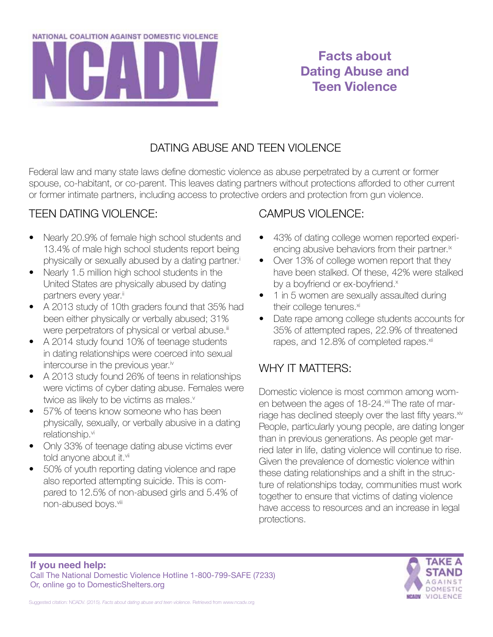

# **Facts about Dating Abuse and Teen Violence**

#### DATING ABUSE AND TEEN VIOLENCE

Federal law and many state laws define domestic violence as abuse perpetrated by a current or former spouse, co-habitant, or co-parent. This leaves dating partners without protections afforded to other current or former intimate partners, including access to protective orders and protection from gun violence.

#### TEEN DATING VIOLENCE:

- Nearly 20.9% of female high school students and 13.4% of male high school students report being physically or sexually abused by a dating partner.<sup>i</sup>
- Nearly 1.5 million high school students in the United States are physically abused by dating partners every year.<sup>ii</sup>
- • A 2013 study of 10th graders found that 35% had been either physically or verbally abused; 31% were perpetrators of physical or verbal abuse.<sup>iii</sup>
- A 2014 study found 10% of teenage students in dating relationships were coerced into sexual intercourse in the previous year.<sup>iv</sup>
- A 2013 study found 26% of teens in relationships were victims of cyber dating abuse. Females were twice as likely to be victims as males.<sup>v</sup>
- 57% of teens know someone who has been physically, sexually, or verbally abusive in a dating relationship.<sup>vi</sup>
- Only 33% of teenage dating abuse victims ever told anyone about it.vii
- 50% of youth reporting dating violence and rape also reported attempting suicide. This is compared to 12.5% of non-abused girls and 5.4% of non-abused boys.viii

#### CAMPUS VIOLENCE:

- 43% of dating college women reported experiencing abusive behaviors from their partner.<sup>ix</sup>
- Over 13% of college women report that they have been stalked. Of these, 42% were stalked by a boyfriend or ex-boyfriend.<sup>x</sup>
- 1 in 5 women are sexually assaulted during their college tenures.xi
- Date rape among college students accounts for 35% of attempted rapes, 22.9% of threatened rapes, and 12.8% of completed rapes.<sup>xii</sup>

### WHY IT MATTERS:

Domestic violence is most common among women between the ages of 18-24.xiii The rate of marriage has declined steeply over the last fifty years.<sup>xiv</sup> People, particularly young people, are dating longer than in previous generations. As people get married later in life, dating violence will continue to rise. Given the prevalence of domestic violence within these dating relationships and a shift in the structure of relationships today, communities must work together to ensure that victims of dating violence have access to resources and an increase in legal protections.